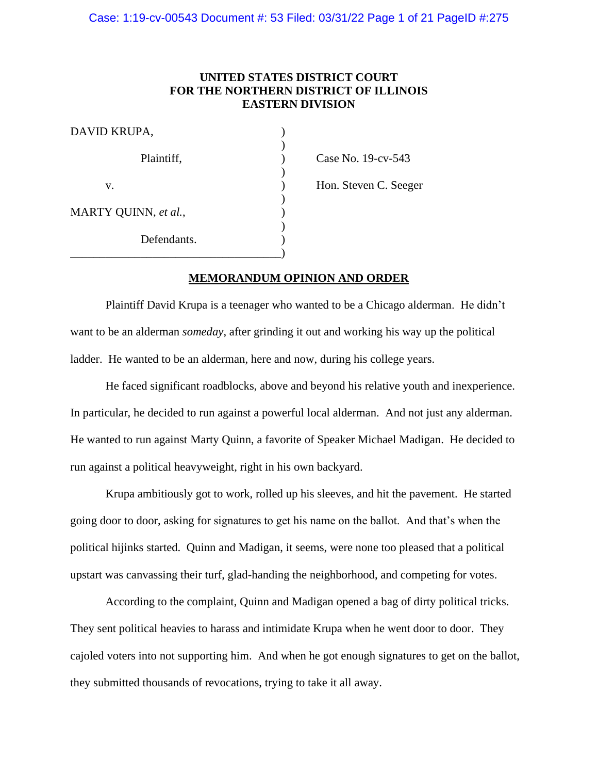### Case: 1:19-cv-00543 Document #: 53 Filed: 03/31/22 Page 1 of 21 PageID #:275

# **UNITED STATES DISTRICT COURT FOR THE NORTHERN DISTRICT OF ILLINOIS EASTERN DIVISION**

| DAVID KRUPA,         |  |
|----------------------|--|
| Plaintiff,           |  |
| V.                   |  |
| MARTY QUINN, et al., |  |
| Defendants.          |  |
|                      |  |

Case No. 19-cv-543

Hon. Steven C. Seeger

### **MEMORANDUM OPINION AND ORDER**

Plaintiff David Krupa is a teenager who wanted to be a Chicago alderman. He didn't want to be an alderman *someday*, after grinding it out and working his way up the political ladder. He wanted to be an alderman, here and now, during his college years.

He faced significant roadblocks, above and beyond his relative youth and inexperience. In particular, he decided to run against a powerful local alderman. And not just any alderman. He wanted to run against Marty Quinn, a favorite of Speaker Michael Madigan. He decided to run against a political heavyweight, right in his own backyard.

Krupa ambitiously got to work, rolled up his sleeves, and hit the pavement. He started going door to door, asking for signatures to get his name on the ballot. And that's when the political hijinks started. Quinn and Madigan, it seems, were none too pleased that a political upstart was canvassing their turf, glad-handing the neighborhood, and competing for votes.

According to the complaint, Quinn and Madigan opened a bag of dirty political tricks. They sent political heavies to harass and intimidate Krupa when he went door to door. They cajoled voters into not supporting him. And when he got enough signatures to get on the ballot, they submitted thousands of revocations, trying to take it all away.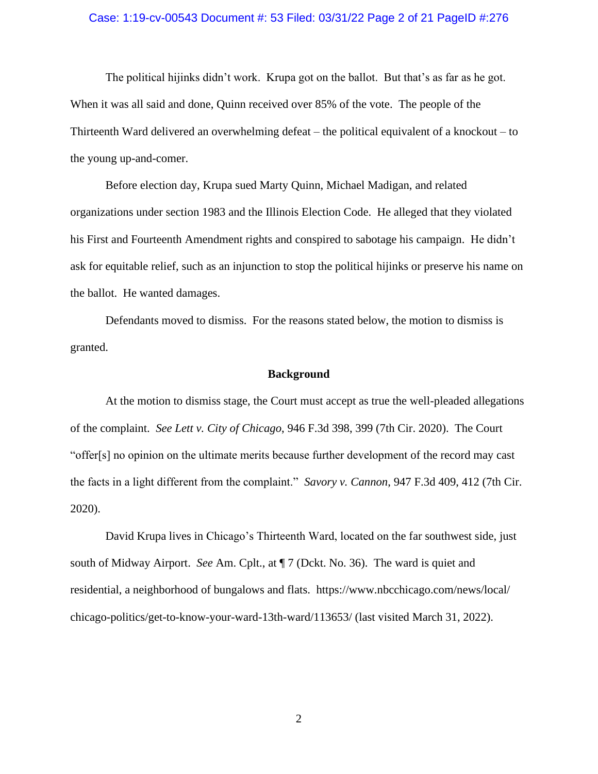# Case: 1:19-cv-00543 Document #: 53 Filed: 03/31/22 Page 2 of 21 PageID #:276

The political hijinks didn't work. Krupa got on the ballot. But that's as far as he got. When it was all said and done, Quinn received over 85% of the vote. The people of the Thirteenth Ward delivered an overwhelming defeat – the political equivalent of a knockout – to the young up-and-comer.

Before election day, Krupa sued Marty Quinn, Michael Madigan, and related organizations under section 1983 and the Illinois Election Code. He alleged that they violated his First and Fourteenth Amendment rights and conspired to sabotage his campaign. He didn't ask for equitable relief, such as an injunction to stop the political hijinks or preserve his name on the ballot. He wanted damages.

Defendants moved to dismiss. For the reasons stated below, the motion to dismiss is granted.

#### **Background**

At the motion to dismiss stage, the Court must accept as true the well-pleaded allegations of the complaint. *See Lett v. City of Chicago*, 946 F.3d 398, 399 (7th Cir. 2020). The Court "offer[s] no opinion on the ultimate merits because further development of the record may cast the facts in a light different from the complaint." *Savory v. Cannon*, 947 F.3d 409, 412 (7th Cir. 2020).

David Krupa lives in Chicago's Thirteenth Ward, located on the far southwest side, just south of Midway Airport. *See* Am. Cplt., at ¶ 7 (Dckt. No. 36). The ward is quiet and residential, a neighborhood of bungalows and flats. https://www.nbcchicago.com/news/local/ chicago-politics/get-to-know-your-ward-13th-ward/113653/ (last visited March 31, 2022).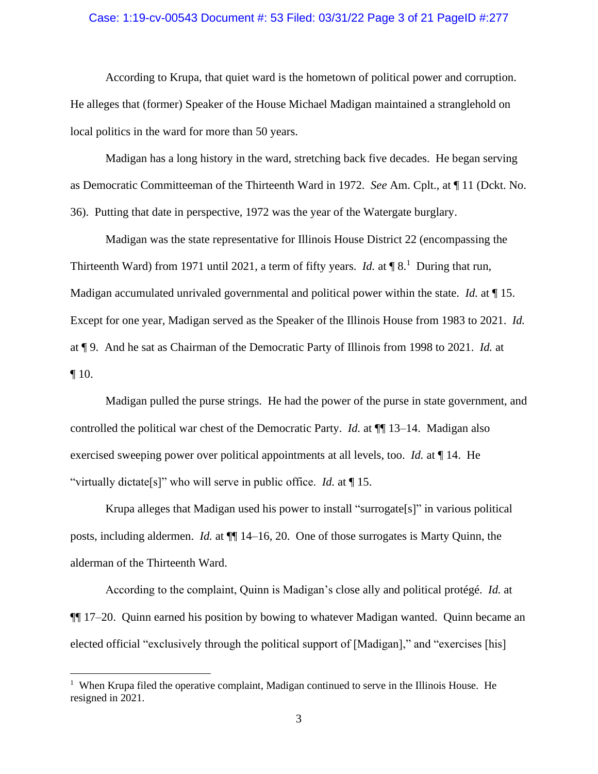### Case: 1:19-cv-00543 Document #: 53 Filed: 03/31/22 Page 3 of 21 PageID #:277

According to Krupa, that quiet ward is the hometown of political power and corruption. He alleges that (former) Speaker of the House Michael Madigan maintained a stranglehold on local politics in the ward for more than 50 years.

Madigan has a long history in the ward, stretching back five decades. He began serving as Democratic Committeeman of the Thirteenth Ward in 1972. *See* Am. Cplt., at ¶ 11 (Dckt. No. 36). Putting that date in perspective, 1972 was the year of the Watergate burglary.

Madigan was the state representative for Illinois House District 22 (encompassing the Thirteenth Ward) from 1971 until 2021, a term of fifty years. *Id.* at  $\P$  8.<sup>1</sup> During that run, Madigan accumulated unrivaled governmental and political power within the state. *Id.* at ¶ 15. Except for one year, Madigan served as the Speaker of the Illinois House from 1983 to 2021. *Id.* at ¶ 9. And he sat as Chairman of the Democratic Party of Illinois from 1998 to 2021. *Id.* at  $\P$  10.

Madigan pulled the purse strings. He had the power of the purse in state government, and controlled the political war chest of the Democratic Party. *Id.* at  $\P$  13–14. Madigan also exercised sweeping power over political appointments at all levels, too. *Id.* at ¶ 14. He "virtually dictate[s]" who will serve in public office. *Id.* at ¶ 15.

Krupa alleges that Madigan used his power to install "surrogate[s]" in various political posts, including aldermen. *Id.* at ¶¶ 14–16, 20. One of those surrogates is Marty Quinn, the alderman of the Thirteenth Ward.

According to the complaint, Quinn is Madigan's close ally and political protégé. *Id.* at ¶¶ 17–20. Quinn earned his position by bowing to whatever Madigan wanted. Quinn became an elected official "exclusively through the political support of [Madigan]," and "exercises [his]

<sup>&</sup>lt;sup>1</sup> When Krupa filed the operative complaint, Madigan continued to serve in the Illinois House. He resigned in 2021.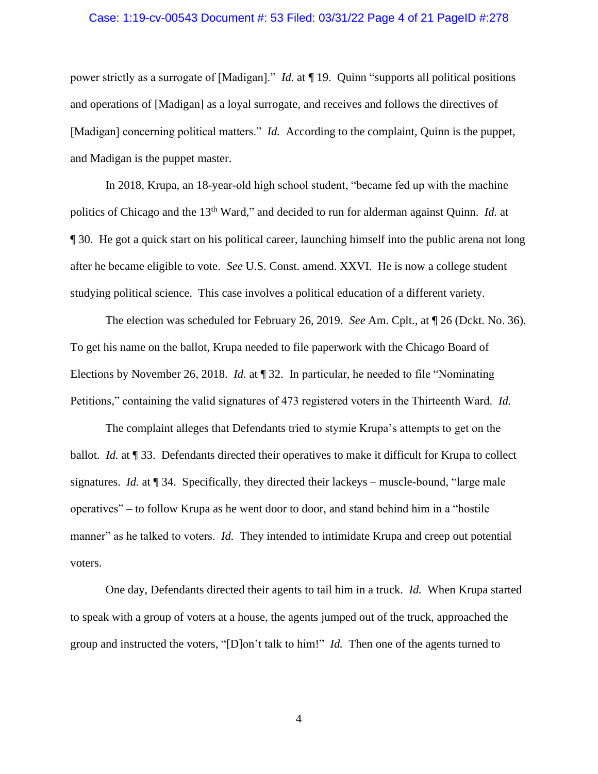#### Case: 1:19-cv-00543 Document #: 53 Filed: 03/31/22 Page 4 of 21 PageID #:278

power strictly as a surrogate of [Madigan]." *Id.* at ¶ 19. Quinn "supports all political positions and operations of [Madigan] as a loyal surrogate, and receives and follows the directives of [Madigan] concerning political matters." *Id.* According to the complaint, Quinn is the puppet, and Madigan is the puppet master.

In 2018, Krupa, an 18-year-old high school student, "became fed up with the machine politics of Chicago and the 13<sup>th</sup> Ward," and decided to run for alderman against Quinn. *Id.* at ¶ 30. He got a quick start on his political career, launching himself into the public arena not long after he became eligible to vote. *See* U.S. Const. amend. XXVI. He is now a college student studying political science. This case involves a political education of a different variety.

The election was scheduled for February 26, 2019. *See* Am. Cplt., at ¶ 26 (Dckt. No. 36). To get his name on the ballot, Krupa needed to file paperwork with the Chicago Board of Elections by November 26, 2018. *Id.* at ¶ 32. In particular, he needed to file "Nominating Petitions," containing the valid signatures of 473 registered voters in the Thirteenth Ward. *Id.*

The complaint alleges that Defendants tried to stymie Krupa's attempts to get on the ballot. *Id.* at ¶ 33. Defendants directed their operatives to make it difficult for Krupa to collect signatures. *Id.* at ¶ 34. Specifically, they directed their lackeys – muscle-bound, "large male operatives" – to follow Krupa as he went door to door, and stand behind him in a "hostile manner" as he talked to voters. *Id.* They intended to intimidate Krupa and creep out potential voters.

One day, Defendants directed their agents to tail him in a truck. *Id.* When Krupa started to speak with a group of voters at a house, the agents jumped out of the truck, approached the group and instructed the voters, "[D]on't talk to him!" *Id.* Then one of the agents turned to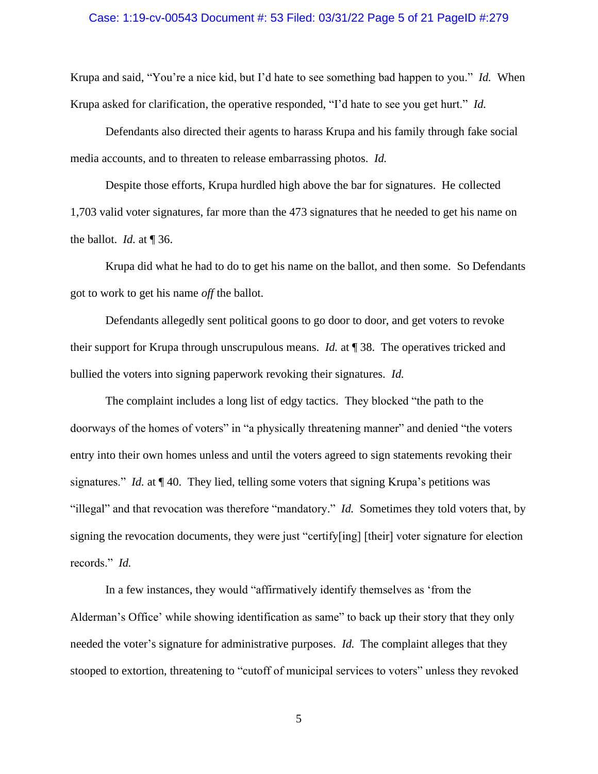### Case: 1:19-cv-00543 Document #: 53 Filed: 03/31/22 Page 5 of 21 PageID #:279

Krupa and said, "You're a nice kid, but I'd hate to see something bad happen to you." *Id.* When Krupa asked for clarification, the operative responded, "I'd hate to see you get hurt." *Id.*

Defendants also directed their agents to harass Krupa and his family through fake social media accounts, and to threaten to release embarrassing photos. *Id.*

Despite those efforts, Krupa hurdled high above the bar for signatures. He collected 1,703 valid voter signatures, far more than the 473 signatures that he needed to get his name on the ballot. *Id.* at ¶ 36.

Krupa did what he had to do to get his name on the ballot, and then some. So Defendants got to work to get his name *off* the ballot.

Defendants allegedly sent political goons to go door to door, and get voters to revoke their support for Krupa through unscrupulous means. *Id.* at ¶ 38. The operatives tricked and bullied the voters into signing paperwork revoking their signatures. *Id.* 

The complaint includes a long list of edgy tactics. They blocked "the path to the doorways of the homes of voters" in "a physically threatening manner" and denied "the voters entry into their own homes unless and until the voters agreed to sign statements revoking their signatures." *Id.* at ¶ 40. They lied, telling some voters that signing Krupa's petitions was "illegal" and that revocation was therefore "mandatory." *Id.* Sometimes they told voters that, by signing the revocation documents, they were just "certify[ing] [their] voter signature for election records." *Id.*

In a few instances, they would "affirmatively identify themselves as 'from the Alderman's Office' while showing identification as same" to back up their story that they only needed the voter's signature for administrative purposes. *Id.* The complaint alleges that they stooped to extortion, threatening to "cutoff of municipal services to voters" unless they revoked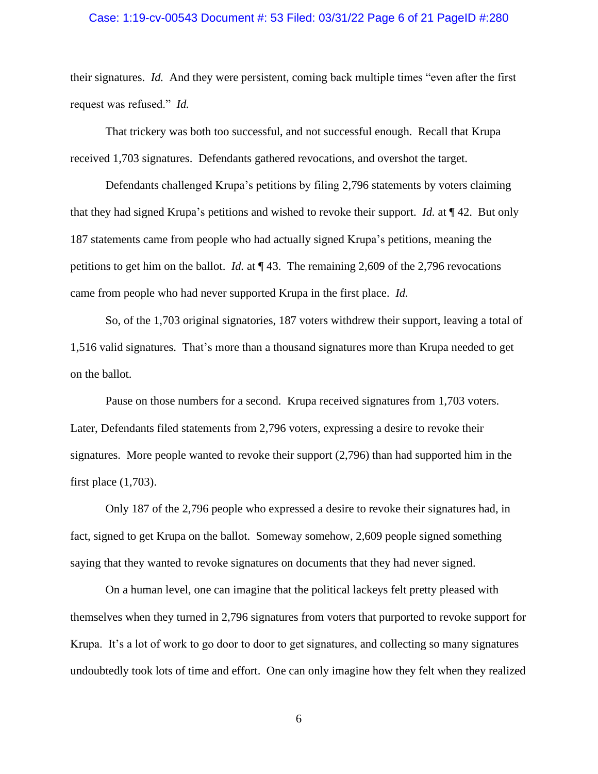### Case: 1:19-cv-00543 Document #: 53 Filed: 03/31/22 Page 6 of 21 PageID #:280

their signatures. *Id.* And they were persistent, coming back multiple times "even after the first request was refused." *Id.*

That trickery was both too successful, and not successful enough. Recall that Krupa received 1,703 signatures. Defendants gathered revocations, and overshot the target.

Defendants challenged Krupa's petitions by filing 2,796 statements by voters claiming that they had signed Krupa's petitions and wished to revoke their support. *Id.* at ¶ 42. But only 187 statements came from people who had actually signed Krupa's petitions, meaning the petitions to get him on the ballot. *Id.* at ¶ 43. The remaining 2,609 of the 2,796 revocations came from people who had never supported Krupa in the first place. *Id.*

So, of the 1,703 original signatories, 187 voters withdrew their support, leaving a total of 1,516 valid signatures. That's more than a thousand signatures more than Krupa needed to get on the ballot.

Pause on those numbers for a second. Krupa received signatures from 1,703 voters. Later, Defendants filed statements from 2,796 voters, expressing a desire to revoke their signatures. More people wanted to revoke their support (2,796) than had supported him in the first place (1,703).

Only 187 of the 2,796 people who expressed a desire to revoke their signatures had, in fact, signed to get Krupa on the ballot. Someway somehow, 2,609 people signed something saying that they wanted to revoke signatures on documents that they had never signed.

On a human level, one can imagine that the political lackeys felt pretty pleased with themselves when they turned in 2,796 signatures from voters that purported to revoke support for Krupa. It's a lot of work to go door to door to get signatures, and collecting so many signatures undoubtedly took lots of time and effort. One can only imagine how they felt when they realized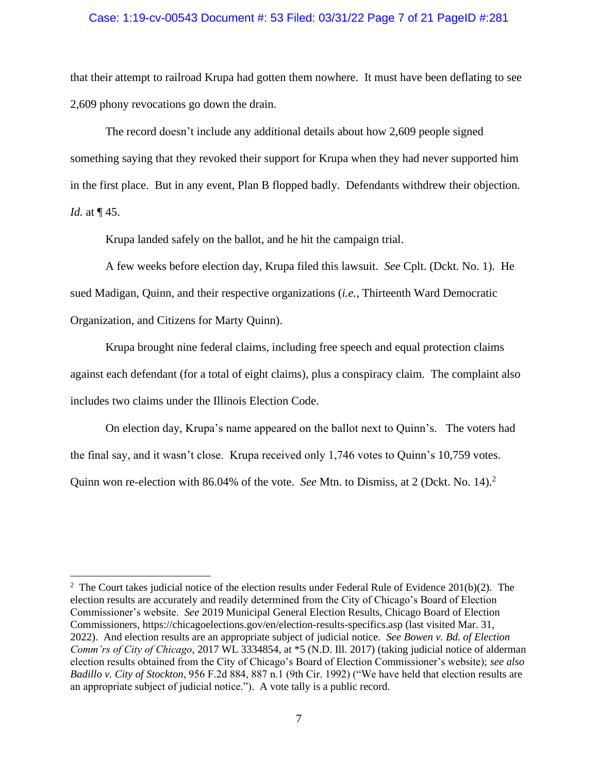### Case: 1:19-cv-00543 Document #: 53 Filed: 03/31/22 Page 7 of 21 PageID #:281

that their attempt to railroad Krupa had gotten them nowhere. It must have been deflating to see 2,609 phony revocations go down the drain.

The record doesn't include any additional details about how 2,609 people signed something saying that they revoked their support for Krupa when they had never supported him in the first place. But in any event, Plan B flopped badly. Defendants withdrew their objection. *Id.* at ¶ 45.

Krupa landed safely on the ballot, and he hit the campaign trial.

A few weeks before election day, Krupa filed this lawsuit. *See* Cplt. (Dckt. No. 1). He sued Madigan, Quinn, and their respective organizations (*i.e.*, Thirteenth Ward Democratic Organization, and Citizens for Marty Quinn).

Krupa brought nine federal claims, including free speech and equal protection claims against each defendant (for a total of eight claims), plus a conspiracy claim. The complaint also includes two claims under the Illinois Election Code.

On election day, Krupa's name appeared on the ballot next to Quinn's. The voters had the final say, and it wasn't close. Krupa received only 1,746 votes to Quinn's 10,759 votes. Quinn won re-election with 86.04% of the vote. *See* Mtn. to Dismiss, at 2 (Dckt. No. 14). 2

<sup>&</sup>lt;sup>2</sup> The Court takes judicial notice of the election results under Federal Rule of Evidence 201(b)(2). The election results are accurately and readily determined from the City of Chicago's Board of Election Commissioner's website. *See* 2019 Municipal General Election Results, Chicago Board of Election Commissioners,<https://chicagoelections.gov/en/election-results-specifics.asp> (last visited Mar. 31, 2022). And election results are an appropriate subject of judicial notice. *See Bowen v. Bd. of Election Comm'rs of City of Chicago*, 2017 WL 3334854, at \*5 (N.D. Ill. 2017) (taking judicial notice of alderman election results obtained from the City of Chicago's Board of Election Commissioner's website); *see also Badillo v. City of Stockton*, 956 F.2d 884, 887 n.1 (9th Cir. 1992) ("We have held that election results are an appropriate subject of judicial notice."). A vote tally is a public record.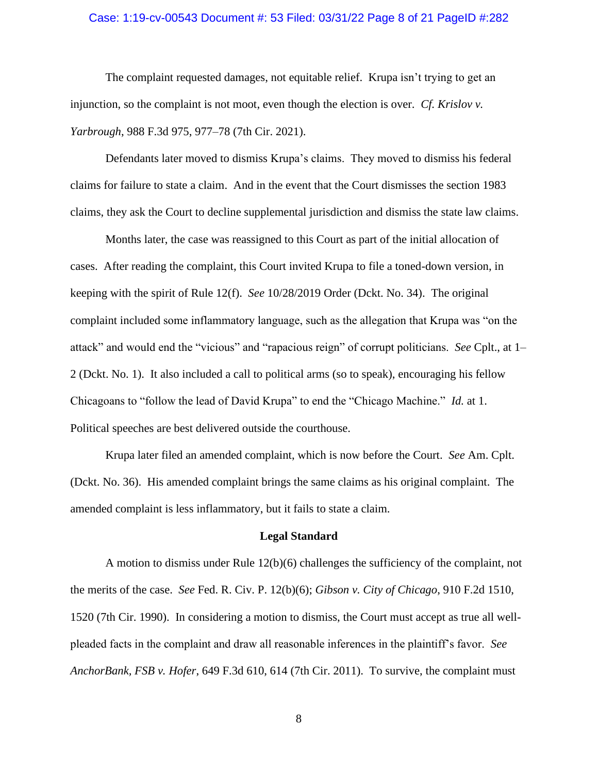# Case: 1:19-cv-00543 Document #: 53 Filed: 03/31/22 Page 8 of 21 PageID #:282

The complaint requested damages, not equitable relief. Krupa isn't trying to get an injunction, so the complaint is not moot, even though the election is over. *Cf. Krislov v. Yarbrough*, 988 F.3d 975, 977–78 (7th Cir. 2021).

Defendants later moved to dismiss Krupa's claims. They moved to dismiss his federal claims for failure to state a claim. And in the event that the Court dismisses the section 1983 claims, they ask the Court to decline supplemental jurisdiction and dismiss the state law claims.

Months later, the case was reassigned to this Court as part of the initial allocation of cases. After reading the complaint, this Court invited Krupa to file a toned-down version, in keeping with the spirit of Rule 12(f). *See* 10/28/2019 Order (Dckt. No. 34). The original complaint included some inflammatory language, such as the allegation that Krupa was "on the attack" and would end the "vicious" and "rapacious reign" of corrupt politicians. *See* Cplt., at 1– 2 (Dckt. No. 1). It also included a call to political arms (so to speak), encouraging his fellow Chicagoans to "follow the lead of David Krupa" to end the "Chicago Machine." *Id.* at 1. Political speeches are best delivered outside the courthouse.

Krupa later filed an amended complaint, which is now before the Court. *See* Am. Cplt. (Dckt. No. 36). His amended complaint brings the same claims as his original complaint. The amended complaint is less inflammatory, but it fails to state a claim.

### **Legal Standard**

A motion to dismiss under Rule 12(b)(6) challenges the sufficiency of the complaint, not the merits of the case. *See* Fed. R. Civ. P. 12(b)(6); *Gibson v. City of Chicago*, 910 F.2d 1510, 1520 (7th Cir. 1990). In considering a motion to dismiss, the Court must accept as true all wellpleaded facts in the complaint and draw all reasonable inferences in the plaintiff's favor. *See AnchorBank, FSB v. Hofer*, 649 F.3d 610, 614 (7th Cir. 2011). To survive, the complaint must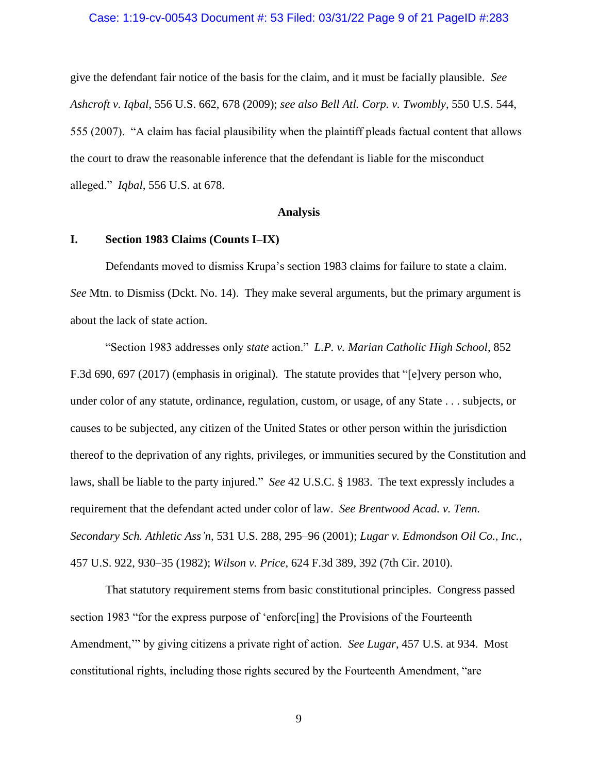# Case: 1:19-cv-00543 Document #: 53 Filed: 03/31/22 Page 9 of 21 PageID #:283

give the defendant fair notice of the basis for the claim, and it must be facially plausible. *See Ashcroft v. Iqbal*, 556 U.S. 662, 678 (2009); *see also Bell Atl. Corp. v. Twombly*, 550 U.S. 544, 555 (2007). "A claim has facial plausibility when the plaintiff pleads factual content that allows the court to draw the reasonable inference that the defendant is liable for the misconduct alleged." *Iqbal*, 556 U.S. at 678.

### **Analysis**

### **I. Section 1983 Claims (Counts I–IX)**

Defendants moved to dismiss Krupa's section 1983 claims for failure to state a claim. *See* Mtn. to Dismiss (Dckt. No. 14). They make several arguments, but the primary argument is about the lack of state action.

"Section 1983 addresses only *state* action." *L.P. v. Marian Catholic High School*, 852 F.3d 690, 697 (2017) (emphasis in original). The statute provides that "[e]very person who, under color of any statute, ordinance, regulation, custom, or usage, of any State . . . subjects, or causes to be subjected, any citizen of the United States or other person within the jurisdiction thereof to the deprivation of any rights, privileges, or immunities secured by the Constitution and laws, shall be liable to the party injured." *See* 42 U.S.C. § 1983. The text expressly includes a requirement that the defendant acted under color of law. *See Brentwood Acad. v. Tenn. Secondary Sch. Athletic Ass'n*, 531 U.S. 288, 295–96 (2001); *Lugar v. Edmondson Oil Co., Inc.*, 457 U.S. 922, 930–35 (1982); *Wilson v. Price*, 624 F.3d 389, 392 (7th Cir. 2010).

That statutory requirement stems from basic constitutional principles. Congress passed section 1983 "for the express purpose of 'enforc[ing] the Provisions of the Fourteenth Amendment,'" by giving citizens a private right of action. *See Lugar*, 457 U.S. at 934. Most constitutional rights, including those rights secured by the Fourteenth Amendment, "are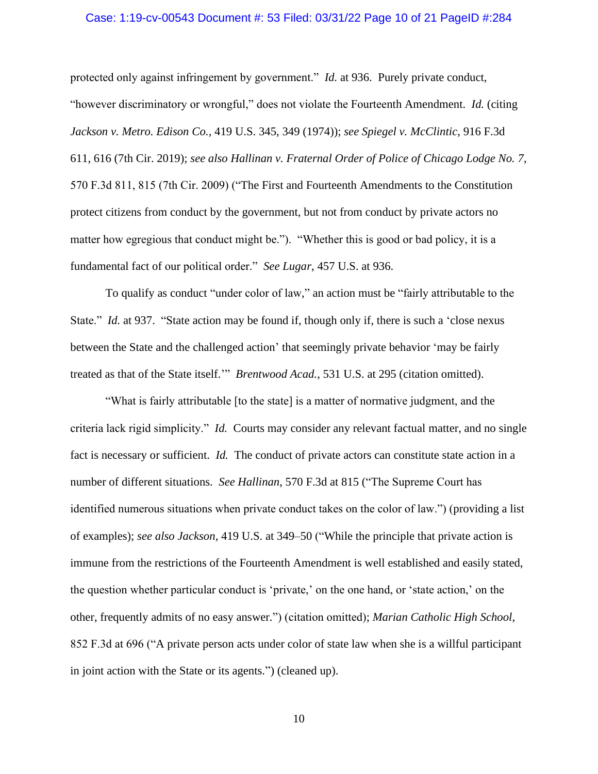### Case: 1:19-cv-00543 Document #: 53 Filed: 03/31/22 Page 10 of 21 PageID #:284

protected only against infringement by government." *Id.* at 936. Purely private conduct, "however discriminatory or wrongful," does not violate the Fourteenth Amendment. *Id.* (citing *Jackson v. Metro. Edison Co.*, 419 U.S. 345, 349 (1974)); *see Spiegel v. McClintic*, 916 F.3d 611, 616 (7th Cir. 2019); *see also Hallinan v. Fraternal Order of Police of Chicago Lodge No. 7*, 570 F.3d 811, 815 (7th Cir. 2009) ("The First and Fourteenth Amendments to the Constitution protect citizens from conduct by the government, but not from conduct by private actors no matter how egregious that conduct might be."). "Whether this is good or bad policy, it is a fundamental fact of our political order." *See Lugar*, 457 U.S. at 936.

To qualify as conduct "under color of law," an action must be "fairly attributable to the State." *Id.* at 937. "State action may be found if, though only if, there is such a 'close nexus between the State and the challenged action' that seemingly private behavior 'may be fairly treated as that of the State itself.'" *Brentwood Acad.*, 531 U.S. at 295 (citation omitted).

"What is fairly attributable [to the state] is a matter of normative judgment, and the criteria lack rigid simplicity." *Id.* Courts may consider any relevant factual matter, and no single fact is necessary or sufficient. *Id.* The conduct of private actors can constitute state action in a number of different situations. *See Hallinan*, 570 F.3d at 815 ("The Supreme Court has identified numerous situations when private conduct takes on the color of law.") (providing a list of examples); *see also Jackson*, 419 U.S. at 349–50 ("While the principle that private action is immune from the restrictions of the Fourteenth Amendment is well established and easily stated, the question whether particular conduct is 'private,' on the one hand, or 'state action,' on the other, frequently admits of no easy answer.") (citation omitted); *Marian Catholic High School*, 852 F.3d at 696 ("A private person acts under color of state law when she is a willful participant in joint action with the State or its agents.") (cleaned up).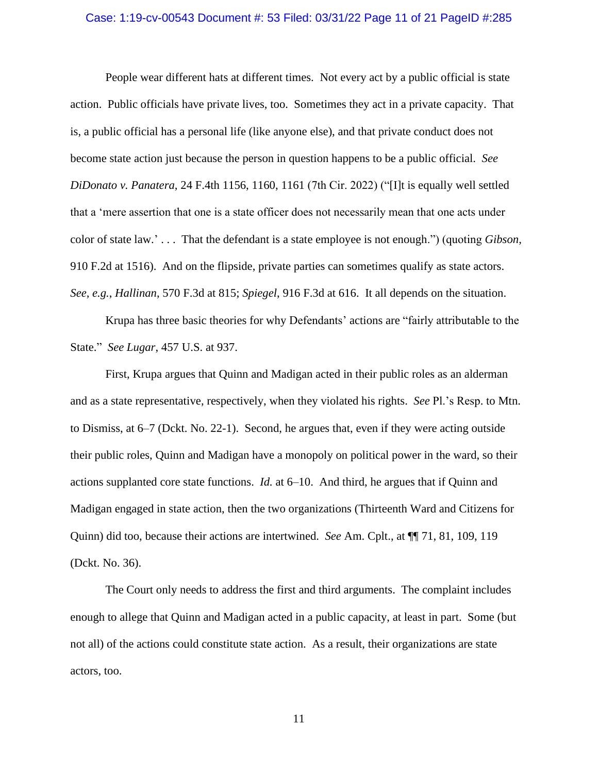# Case: 1:19-cv-00543 Document #: 53 Filed: 03/31/22 Page 11 of 21 PageID #:285

People wear different hats at different times. Not every act by a public official is state action. Public officials have private lives, too. Sometimes they act in a private capacity. That is, a public official has a personal life (like anyone else), and that private conduct does not become state action just because the person in question happens to be a public official. *See DiDonato v. Panatera*, 24 F.4th 1156, 1160, 1161 (7th Cir. 2022) ("[I]t is equally well settled that a 'mere assertion that one is a state officer does not necessarily mean that one acts under color of state law.' . . . That the defendant is a state employee is not enough.") (quoting *Gibson*, 910 F.2d at 1516). And on the flipside, private parties can sometimes qualify as state actors. *See, e.g.*, *Hallinan*, 570 F.3d at 815; *Spiegel*, 916 F.3d at 616. It all depends on the situation.

Krupa has three basic theories for why Defendants' actions are "fairly attributable to the State." *See Lugar*, 457 U.S. at 937.

First, Krupa argues that Quinn and Madigan acted in their public roles as an alderman and as a state representative, respectively, when they violated his rights. *See* Pl.'s Resp. to Mtn. to Dismiss, at 6–7 (Dckt. No. 22-1). Second, he argues that, even if they were acting outside their public roles, Quinn and Madigan have a monopoly on political power in the ward, so their actions supplanted core state functions. *Id.* at 6–10. And third, he argues that if Quinn and Madigan engaged in state action, then the two organizations (Thirteenth Ward and Citizens for Quinn) did too, because their actions are intertwined. *See* Am. Cplt., at ¶¶ 71, 81, 109, 119 (Dckt. No. 36).

The Court only needs to address the first and third arguments. The complaint includes enough to allege that Quinn and Madigan acted in a public capacity, at least in part. Some (but not all) of the actions could constitute state action. As a result, their organizations are state actors, too.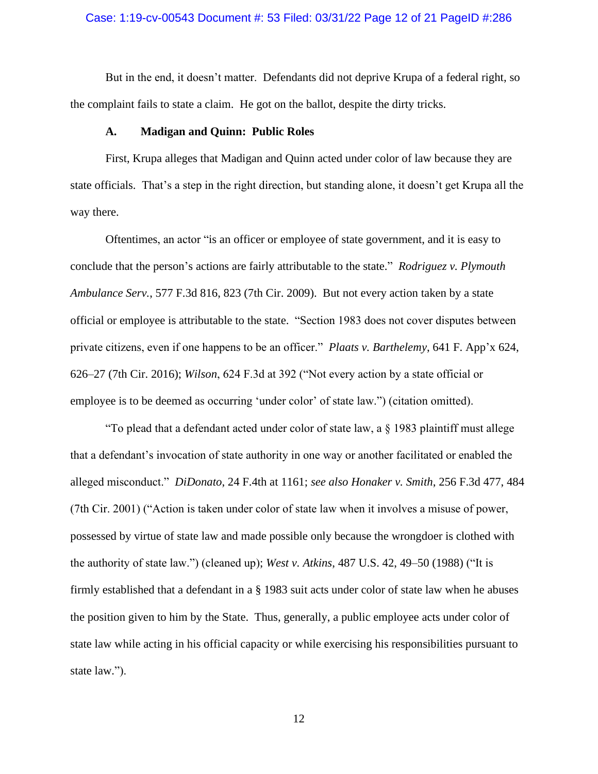# Case: 1:19-cv-00543 Document #: 53 Filed: 03/31/22 Page 12 of 21 PageID #:286

But in the end, it doesn't matter. Defendants did not deprive Krupa of a federal right, so the complaint fails to state a claim. He got on the ballot, despite the dirty tricks.

#### **A. Madigan and Quinn: Public Roles**

First, Krupa alleges that Madigan and Quinn acted under color of law because they are state officials. That's a step in the right direction, but standing alone, it doesn't get Krupa all the way there.

Oftentimes, an actor "is an officer or employee of state government, and it is easy to conclude that the person's actions are fairly attributable to the state." *Rodriguez v. Plymouth Ambulance Serv.*, 577 F.3d 816, 823 (7th Cir. 2009). But not every action taken by a state official or employee is attributable to the state. "Section 1983 does not cover disputes between private citizens, even if one happens to be an officer." *Plaats v. Barthelemy*, 641 F. App'x 624, 626–27 (7th Cir. 2016); *Wilson*, 624 F.3d at 392 ("Not every action by a state official or employee is to be deemed as occurring 'under color' of state law.") (citation omitted).

"To plead that a defendant acted under color of state law, a § 1983 plaintiff must allege that a defendant's invocation of state authority in one way or another facilitated or enabled the alleged misconduct." *DiDonato*, 24 F.4th at 1161; *see also Honaker v. Smith*, 256 F.3d 477, 484 (7th Cir. 2001) ("Action is taken under color of state law when it involves a misuse of power, possessed by virtue of state law and made possible only because the wrongdoer is clothed with the authority of state law.") (cleaned up); *West v. Atkins*, 487 U.S. 42, 49–50 (1988) ("It is firmly established that a defendant in a § [1983](https://1.next.westlaw.com/Link/Document/FullText?findType=L&pubNum=1000546&cite=42USCAS1983&originatingDoc=I1786319b9c1f11d993e6d35cc61aab4a&refType=LQ&originationContext=document&transitionType=DocumentItem&ppcid=2d4dd18494d94dccaa3591bc4d7a4aa2&contextData=(sc.UserEnteredCitation)) suit acts under color of state law when he abuses the position given to him by the State. Thus, generally, a public employee acts under color of state law while acting in his official capacity or while exercising his responsibilities pursuant to state law.").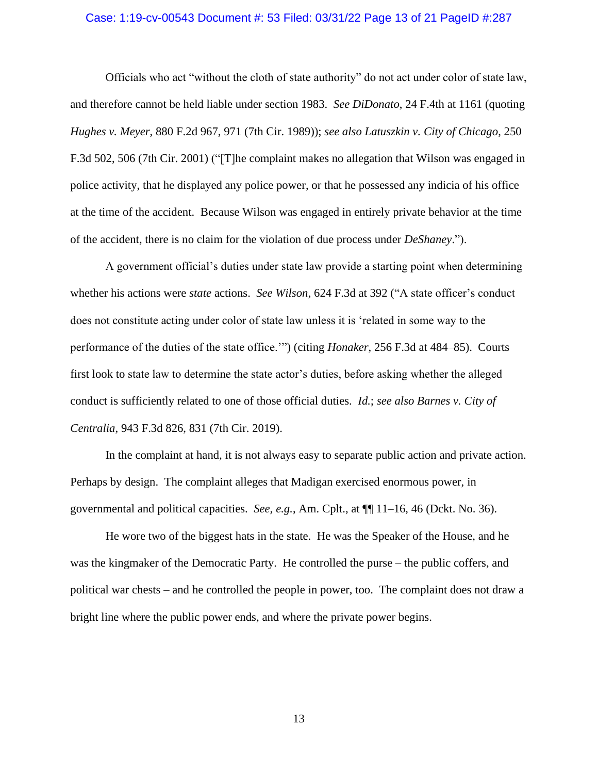### Case: 1:19-cv-00543 Document #: 53 Filed: 03/31/22 Page 13 of 21 PageID #:287

Officials who act "without the cloth of state authority" do not act under color of state law, and therefore cannot be held liable under section 1983. *See DiDonato*, 24 F.4th at 1161 (quoting *Hughes v. Meyer*, 880 F.2d 967, 971 (7th Cir. 1989)); *see also Latuszkin v. City of Chicago*, 250 F.3d 502, 506 (7th Cir. 2001) ("[T]he complaint makes no allegation that Wilson was engaged in police activity, that he displayed any police power, or that he possessed any indicia of his office at the time of the accident. Because Wilson was engaged in entirely private behavior at the time of the accident, there is no claim for the violation of due process under *DeShaney*.").

A government official's duties under state law provide a starting point when determining whether his actions were *state* actions. *See Wilson*, 624 F.3d at 392 ("A state officer's conduct does not constitute acting under color of state law unless it is 'related in some way to the performance of the duties of the state office.'") (citing *Honaker*, 256 F.3d at 484–85). Courts first look to state law to determine the state actor's duties, before asking whether the alleged conduct is sufficiently related to one of those official duties. *Id.*; *see also Barnes v. City of Centralia*, 943 F.3d 826, 831 (7th Cir. 2019).

In the complaint at hand, it is not always easy to separate public action and private action. Perhaps by design. The complaint alleges that Madigan exercised enormous power, in governmental and political capacities. *See, e.g.*, Am. Cplt., at ¶¶ 11–16, 46 (Dckt. No. 36).

He wore two of the biggest hats in the state. He was the Speaker of the House, and he was the kingmaker of the Democratic Party. He controlled the purse – the public coffers, and political war chests – and he controlled the people in power, too. The complaint does not draw a bright line where the public power ends, and where the private power begins.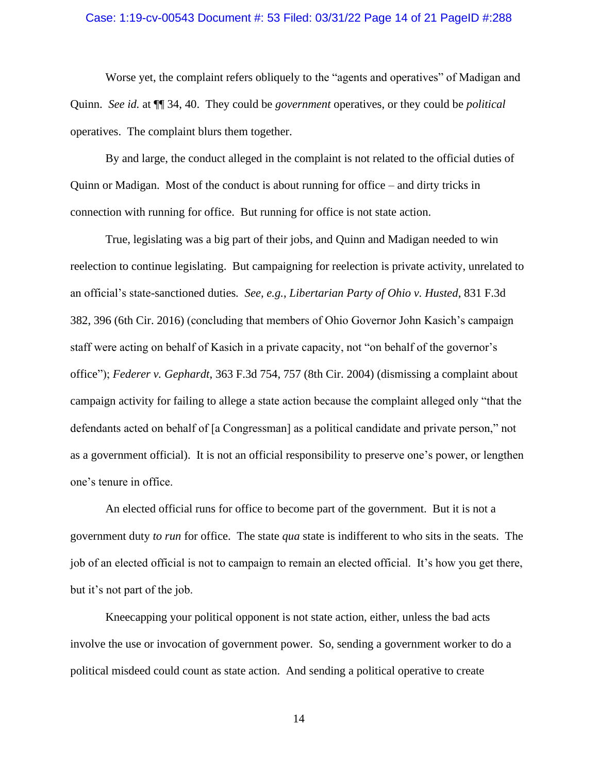### Case: 1:19-cv-00543 Document #: 53 Filed: 03/31/22 Page 14 of 21 PageID #:288

Worse yet, the complaint refers obliquely to the "agents and operatives" of Madigan and Quinn. *See id.* at ¶¶ 34, 40. They could be *government* operatives, or they could be *political*  operatives. The complaint blurs them together.

By and large, the conduct alleged in the complaint is not related to the official duties of Quinn or Madigan. Most of the conduct is about running for office – and dirty tricks in connection with running for office. But running for office is not state action.

True, legislating was a big part of their jobs, and Quinn and Madigan needed to win reelection to continue legislating. But campaigning for reelection is private activity, unrelated to an official's state-sanctioned duties*. See, e.g.*, *Libertarian Party of Ohio v. Husted*, 831 F.3d 382, 396 (6th Cir. 2016) (concluding that members of Ohio Governor John Kasich's campaign staff were acting on behalf of Kasich in a private capacity, not "on behalf of the governor's office"); *Federer v. Gephardt*, 363 F.3d 754, 757 (8th Cir. 2004) (dismissing a complaint about campaign activity for failing to allege a state action because the complaint alleged only "that the defendants acted on behalf of [a Congressman] as a political candidate and private person," not as a government official). It is not an official responsibility to preserve one's power, or lengthen one's tenure in office.

An elected official runs for office to become part of the government. But it is not a government duty *to run* for office. The state *qua* state is indifferent to who sits in the seats. The job of an elected official is not to campaign to remain an elected official. It's how you get there, but it's not part of the job.

Kneecapping your political opponent is not state action, either, unless the bad acts involve the use or invocation of government power. So, sending a government worker to do a political misdeed could count as state action. And sending a political operative to create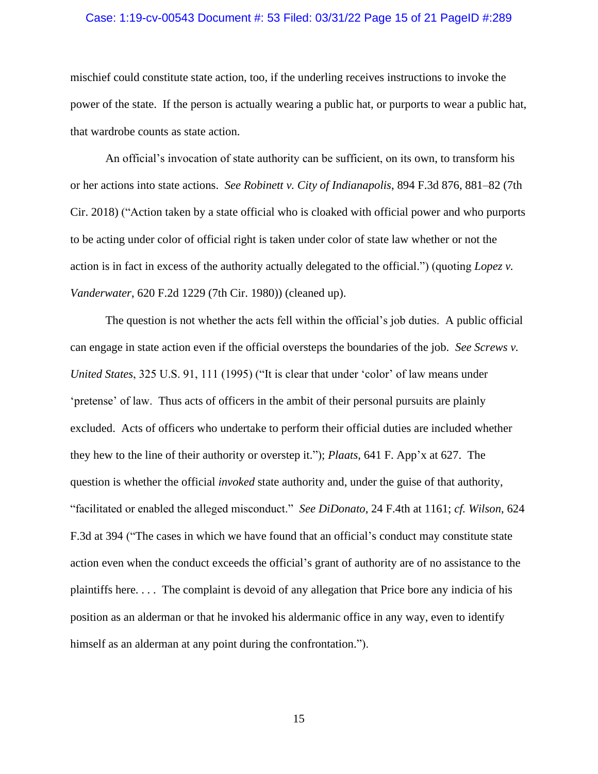# Case: 1:19-cv-00543 Document #: 53 Filed: 03/31/22 Page 15 of 21 PageID #:289

mischief could constitute state action, too, if the underling receives instructions to invoke the power of the state. If the person is actually wearing a public hat, or purports to wear a public hat, that wardrobe counts as state action.

An official's invocation of state authority can be sufficient, on its own, to transform his or her actions into state actions. *See Robinett v. City of Indianapolis*, 894 F.3d 876, 881–82 (7th Cir. 2018) ("Action taken by a state official who is cloaked with official power and who purports to be acting under color of official right is taken under color of state law whether or not the action is in fact in excess of the authority actually delegated to the official.") (quoting *Lopez v. Vanderwater*, 620 F.2d 1229 (7th Cir. 1980)) (cleaned up).

The question is not whether the acts fell within the official's job duties. A public official can engage in state action even if the official oversteps the boundaries of the job. *See Screws v. United States*, 325 U.S. 91, 111 (1995) ("It is clear that under 'color' of law means under 'pretense' of law. Thus acts of officers in the ambit of their personal pursuits are plainly excluded. Acts of officers who undertake to perform their official duties are included whether they hew to the line of their authority or overstep it."); *Plaats*, 641 F. App'x at 627. The question is whether the official *invoked* state authority and, under the guise of that authority, "facilitated or enabled the alleged misconduct." *See DiDonato*, 24 F.4th at 1161; *cf. Wilson*, 624 F.3d at 394 ("The cases in which we have found that an official's conduct may constitute state action even when the conduct exceeds the official's grant of authority are of no assistance to the plaintiffs here. . . . The complaint is devoid of any allegation that Price bore any indicia of his position as an alderman or that he invoked his aldermanic office in any way, even to identify himself as an alderman at any point during the confrontation.").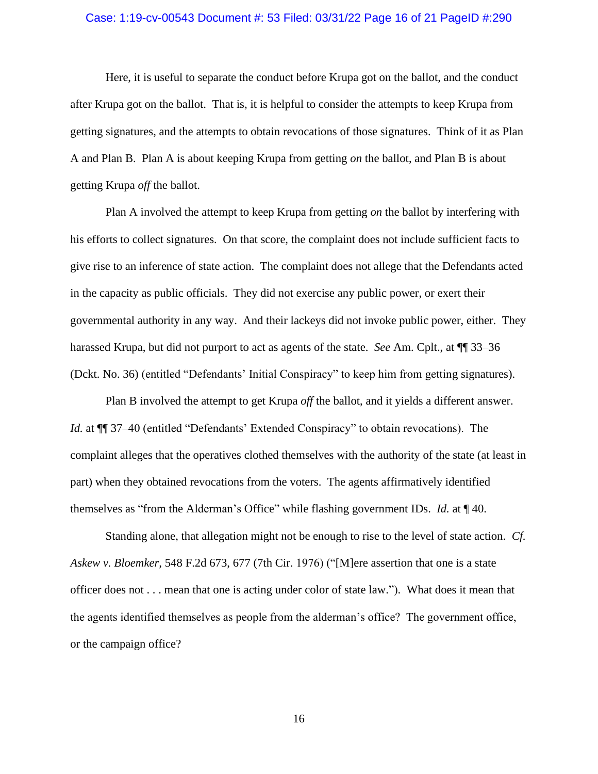# Case: 1:19-cv-00543 Document #: 53 Filed: 03/31/22 Page 16 of 21 PageID #:290

Here, it is useful to separate the conduct before Krupa got on the ballot, and the conduct after Krupa got on the ballot. That is, it is helpful to consider the attempts to keep Krupa from getting signatures, and the attempts to obtain revocations of those signatures. Think of it as Plan A and Plan B. Plan A is about keeping Krupa from getting *on* the ballot, and Plan B is about getting Krupa *off* the ballot.

Plan A involved the attempt to keep Krupa from getting *on* the ballot by interfering with his efforts to collect signatures. On that score, the complaint does not include sufficient facts to give rise to an inference of state action. The complaint does not allege that the Defendants acted in the capacity as public officials. They did not exercise any public power, or exert their governmental authority in any way. And their lackeys did not invoke public power, either. They harassed Krupa, but did not purport to act as agents of the state. *See* Am. Cplt., at ¶¶ 33–36 (Dckt. No. 36) (entitled "Defendants' Initial Conspiracy" to keep him from getting signatures).

Plan B involved the attempt to get Krupa *off* the ballot, and it yields a different answer. *Id.* at  $\P$  37–40 (entitled "Defendants' Extended Conspiracy" to obtain revocations). The complaint alleges that the operatives clothed themselves with the authority of the state (at least in part) when they obtained revocations from the voters. The agents affirmatively identified themselves as "from the Alderman's Office" while flashing government IDs. *Id.* at ¶ 40.

Standing alone, that allegation might not be enough to rise to the level of state action. *Cf. Askew v. Bloemker,* 548 F.2d 673, 677 (7th Cir. 1976) ("[M]ere assertion that one is a state officer does not . . . mean that one is acting under color of state law."). What does it mean that the agents identified themselves as people from the alderman's office? The government office, or the campaign office?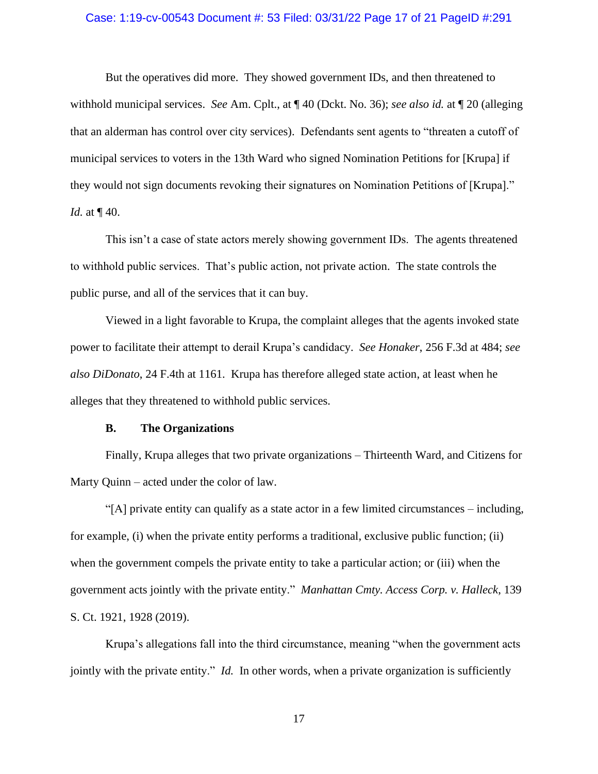### Case: 1:19-cv-00543 Document #: 53 Filed: 03/31/22 Page 17 of 21 PageID #:291

But the operatives did more. They showed government IDs, and then threatened to withhold municipal services. *See* Am. Cplt., at ¶ 40 (Dckt. No. 36); *see also id.* at ¶ 20 (alleging that an alderman has control over city services). Defendants sent agents to "threaten a cutoff of municipal services to voters in the 13th Ward who signed Nomination Petitions for [Krupa] if they would not sign documents revoking their signatures on Nomination Petitions of [Krupa]." *Id.* at  $\P$  40.

This isn't a case of state actors merely showing government IDs. The agents threatened to withhold public services. That's public action, not private action. The state controls the public purse, and all of the services that it can buy.

Viewed in a light favorable to Krupa, the complaint alleges that the agents invoked state power to facilitate their attempt to derail Krupa's candidacy. *See Honaker*, 256 F.3d at 484; *see also DiDonato*, 24 F.4th at 1161. Krupa has therefore alleged state action, at least when he alleges that they threatened to withhold public services.

### **B. The Organizations**

Finally, Krupa alleges that two private organizations – Thirteenth Ward, and Citizens for Marty Quinn – acted under the color of law.

"[A] private entity can qualify as a state actor in a few limited circumstances – including, for example, (i) when the private entity performs a traditional, exclusive public function; (ii) when the government compels the private entity to take a particular action; or (iii) when the government acts jointly with the private entity." *Manhattan Cmty. Access Corp. v. Halleck*, 139 S. Ct. 1921, 1928 (2019).

Krupa's allegations fall into the third circumstance, meaning "when the government acts jointly with the private entity." *Id.* In other words, when a private organization is sufficiently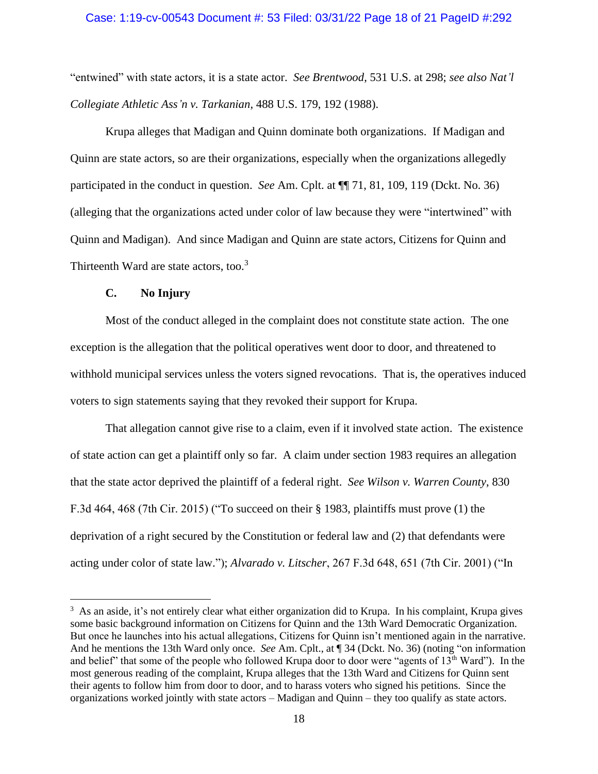### Case: 1:19-cv-00543 Document #: 53 Filed: 03/31/22 Page 18 of 21 PageID #:292

"entwined" with state actors, it is a state actor. *See Brentwood*, 531 U.S. at 298; *see also Nat'l Collegiate Athletic Ass'n v. Tarkanian*, 488 U.S. 179, 192 (1988).

Krupa alleges that Madigan and Quinn dominate both organizations. If Madigan and Quinn are state actors, so are their organizations, especially when the organizations allegedly participated in the conduct in question. *See* Am. Cplt. at ¶¶ 71, 81, 109, 119 (Dckt. No. 36) (alleging that the organizations acted under color of law because they were "intertwined" with Quinn and Madigan). And since Madigan and Quinn are state actors, Citizens for Quinn and Thirteenth Ward are state actors, too.<sup>3</sup>

### **C. No Injury**

Most of the conduct alleged in the complaint does not constitute state action. The one exception is the allegation that the political operatives went door to door, and threatened to withhold municipal services unless the voters signed revocations. That is, the operatives induced voters to sign statements saying that they revoked their support for Krupa.

That allegation cannot give rise to a claim, even if it involved state action. The existence of state action can get a plaintiff only so far. A claim under section 1983 requires an allegation that the state actor deprived the plaintiff of a federal right. *See Wilson v. Warren County*, 830 F.3d 464, 468 (7th Cir. 2015) ("To succeed on their § 1983, plaintiffs must prove (1) the deprivation of a right secured by the Constitution or federal law and (2) that defendants were acting under color of state law."); *Alvarado v. Litscher*, 267 F.3d 648, 651 (7th Cir. 2001) ("In

<sup>&</sup>lt;sup>3</sup> As an aside, it's not entirely clear what either organization did to Krupa. In his complaint, Krupa gives some basic background information on Citizens for Quinn and the 13th Ward Democratic Organization. But once he launches into his actual allegations, Citizens for Quinn isn't mentioned again in the narrative. And he mentions the 13th Ward only once. *See* Am. Cplt., at ¶ 34 (Dckt. No. 36) (noting "on information and belief" that some of the people who followed Krupa door to door were "agents of 13<sup>th</sup> Ward"). In the most generous reading of the complaint, Krupa alleges that the 13th Ward and Citizens for Quinn sent their agents to follow him from door to door, and to harass voters who signed his petitions. Since the organizations worked jointly with state actors – Madigan and Quinn – they too qualify as state actors.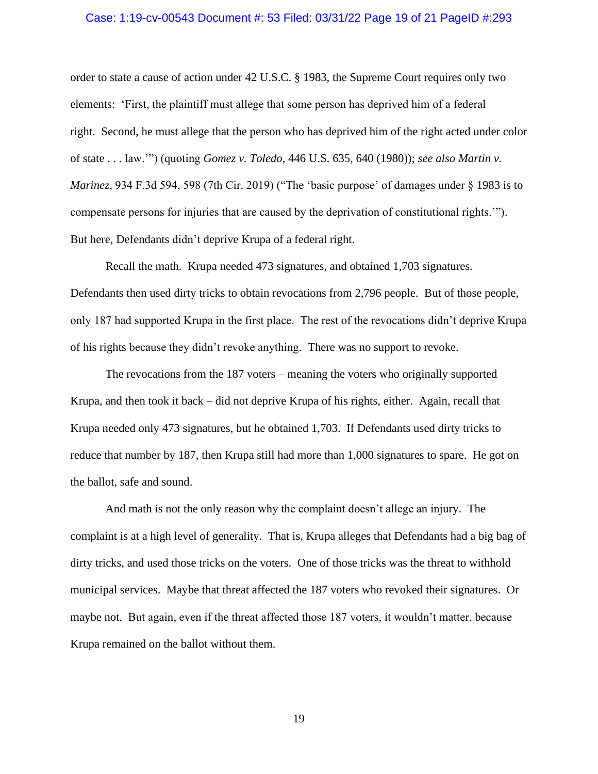# Case: 1:19-cv-00543 Document #: 53 Filed: 03/31/22 Page 19 of 21 PageID #:293

order to state a cause of action under 42 U.S.C. § 1983, the Supreme Court requires only two elements: 'First, the plaintiff must allege that some person has deprived him of a federal right. Second, he must allege that the person who has deprived him of the right acted under color of state . . . law.'") (quoting *Gomez v. Toledo*, 446 U.S. 635, 640 (1980)); *see also Martin v. Marinez*, 934 F.3d 594, 598 (7th Cir. 2019) ("The 'basic purpose' of damages under § 1983 is to compensate persons for injuries that are caused by the deprivation of constitutional rights.'"). But here, Defendants didn't deprive Krupa of a federal right.

Recall the math. Krupa needed 473 signatures, and obtained 1,703 signatures. Defendants then used dirty tricks to obtain revocations from 2,796 people. But of those people, only 187 had supported Krupa in the first place. The rest of the revocations didn't deprive Krupa of his rights because they didn't revoke anything. There was no support to revoke.

The revocations from the 187 voters – meaning the voters who originally supported Krupa, and then took it back – did not deprive Krupa of his rights, either. Again, recall that Krupa needed only 473 signatures, but he obtained 1,703. If Defendants used dirty tricks to reduce that number by 187, then Krupa still had more than 1,000 signatures to spare. He got on the ballot, safe and sound.

And math is not the only reason why the complaint doesn't allege an injury. The complaint is at a high level of generality. That is, Krupa alleges that Defendants had a big bag of dirty tricks, and used those tricks on the voters. One of those tricks was the threat to withhold municipal services. Maybe that threat affected the 187 voters who revoked their signatures. Or maybe not. But again, even if the threat affected those 187 voters, it wouldn't matter, because Krupa remained on the ballot without them.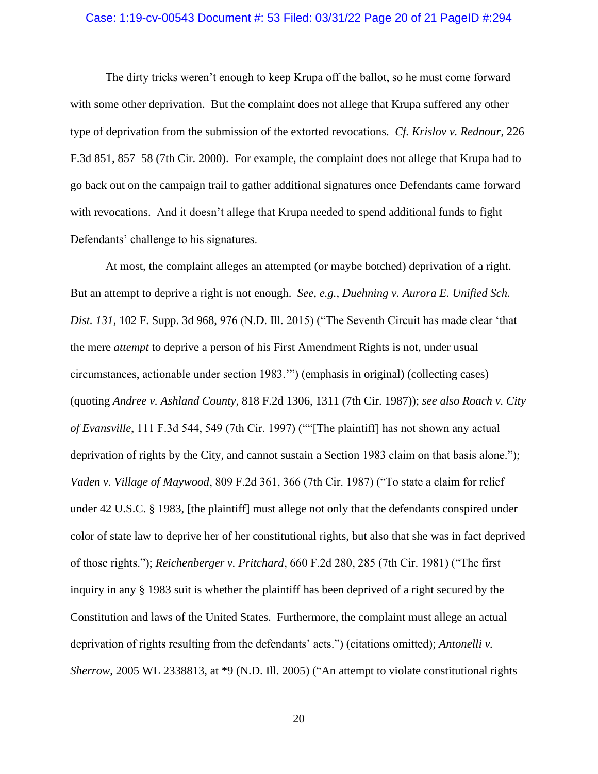# Case: 1:19-cv-00543 Document #: 53 Filed: 03/31/22 Page 20 of 21 PageID #:294

The dirty tricks weren't enough to keep Krupa off the ballot, so he must come forward with some other deprivation. But the complaint does not allege that Krupa suffered any other type of deprivation from the submission of the extorted revocations. *Cf. Krislov v. Rednour*, 226 F.3d 851, 857–58 (7th Cir. 2000). For example, the complaint does not allege that Krupa had to go back out on the campaign trail to gather additional signatures once Defendants came forward with revocations. And it doesn't allege that Krupa needed to spend additional funds to fight Defendants' challenge to his signatures.

At most, the complaint alleges an attempted (or maybe botched) deprivation of a right. But an attempt to deprive a right is not enough. *See, e.g.*, *Duehning v. Aurora E. Unified Sch. Dist. 131*, 102 F. Supp. 3d 968, 976 (N.D. Ill. 2015) ("The Seventh Circuit has made clear 'that the mere *attempt* to deprive a person of his First Amendment Rights is not, under usual circumstances, actionable under section 1983.'") (emphasis in original) (collecting cases) (quoting *Andree v. Ashland County*, 818 F.2d 1306, 1311 (7th Cir. 1987)); *see also Roach v. City of Evansville*, 111 F.3d 544, 549 (7th Cir. 1997) (""[The plaintiff] has not shown any actual deprivation of rights by the City, and cannot sustain a Section 1983 claim on that basis alone."); *Vaden v. Village of Maywood*, 809 F.2d 361, 366 (7th Cir. 1987) ("To state a claim for relief under 42 U.S.C. § 1983, [the plaintiff] must allege not only that the defendants conspired under color of state law to deprive her of her constitutional rights, but also that she was in fact deprived of those rights."); *Reichenberger v. Pritchard*, 660 F.2d 280, 285 (7th Cir. 1981) ("The first inquiry in any § 1983 suit is whether the plaintiff has been deprived of a right secured by the Constitution and laws of the United States. Furthermore, the complaint must allege an actual deprivation of rights resulting from the defendants' acts.") (citations omitted); *Antonelli v. Sherrow*, 2005 WL 2338813, at \*9 (N.D. Ill. 2005) ("An attempt to violate constitutional rights